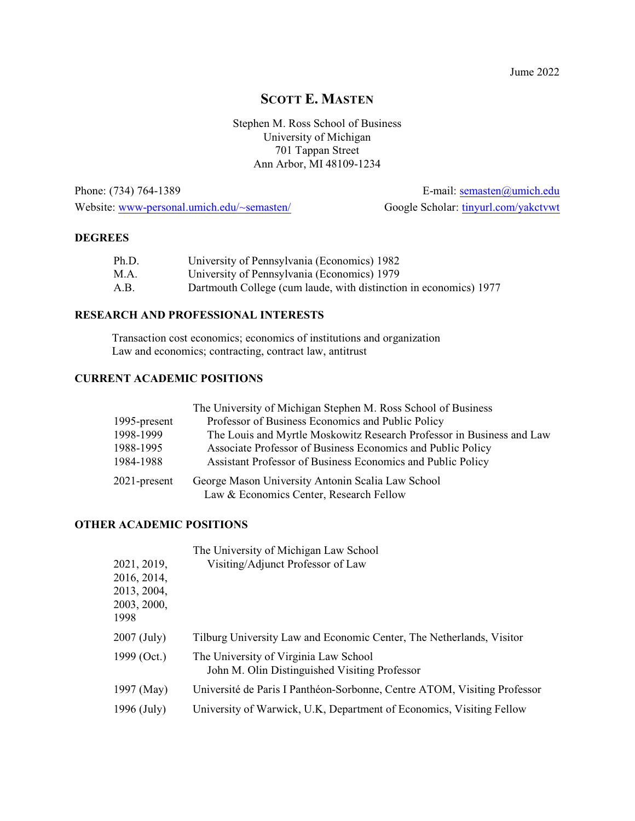## **SCOTT E. MASTEN**

Stephen M. Ross School of Business University of Michigan 701 Tappan Street Ann Arbor, MI 48109-1234

Phone: (734) 764-1389 E-mail: [semasten@umich.edu](mailto:semasten@umich.edu) Website: [www-personal.umich.edu/~semasten/](http://www-personal.umich.edu/~semasten/) Google Scholar: [tinyurl.com/yakctvwt](http://tinyurl.com/yakctvwt)

#### **DEGREES**

| Ph.D. | University of Pennsylvania (Economics) 1982                       |
|-------|-------------------------------------------------------------------|
| M.A.  | University of Pennsylvania (Economics) 1979                       |
| A.B.  | Dartmouth College (cum laude, with distinction in economics) 1977 |

### **RESEARCH AND PROFESSIONAL INTERESTS**

Transaction cost economics; economics of institutions and organization Law and economics; contracting, contract law, antitrust

### **CURRENT ACADEMIC POSITIONS**

|                 | The University of Michigan Stephen M. Ross School of Business         |
|-----------------|-----------------------------------------------------------------------|
| 1995-present    | Professor of Business Economics and Public Policy                     |
| 1998-1999       | The Louis and Myrtle Moskowitz Research Professor in Business and Law |
| 1988-1995       | Associate Professor of Business Economics and Public Policy           |
| 1984-1988       | Assistant Professor of Business Economics and Public Policy           |
| $2021$ -present | George Mason University Antonin Scalia Law School                     |
|                 | Law & Economics Center, Research Fellow                               |

### **OTHER ACADEMIC POSITIONS**

|               | The University of Michigan Law School                                                  |
|---------------|----------------------------------------------------------------------------------------|
| 2021, 2019,   | Visiting/Adjunct Professor of Law                                                      |
| 2016, 2014,   |                                                                                        |
| 2013, 2004,   |                                                                                        |
| 2003, 2000,   |                                                                                        |
| 1998          |                                                                                        |
| 2007 (July)   | Tilburg University Law and Economic Center, The Netherlands, Visitor                   |
| 1999 (Oct.)   | The University of Virginia Law School<br>John M. Olin Distinguished Visiting Professor |
| 1997 (May)    | Université de Paris I Panthéon-Sorbonne, Centre ATOM, Visiting Professor               |
| $1996$ (July) | University of Warwick, U.K, Department of Economics, Visiting Fellow                   |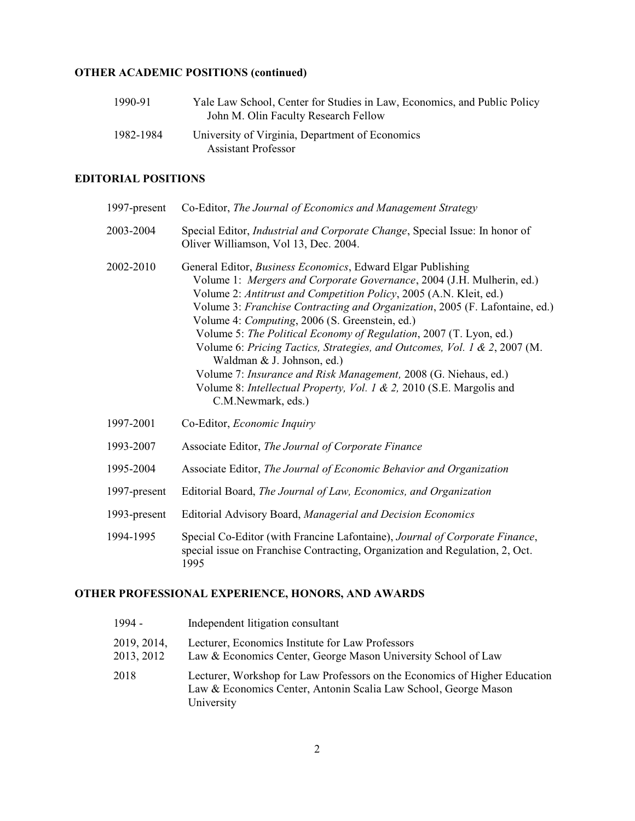### **OTHER ACADEMIC POSITIONS (continued)**

| 1990-91   | Yale Law School, Center for Studies in Law, Economics, and Public Policy<br>John M. Olin Faculty Research Fellow |
|-----------|------------------------------------------------------------------------------------------------------------------|
| 1982-1984 | University of Virginia, Department of Economics                                                                  |
|           | <b>Assistant Professor</b>                                                                                       |

### **EDITORIAL POSITIONS**

| 1997-present | Co-Editor, The Journal of Economics and Management Strategy                                                                                                                                                                                                                                                                                                                                                                                                                                                                                                                                                                                                                                           |
|--------------|-------------------------------------------------------------------------------------------------------------------------------------------------------------------------------------------------------------------------------------------------------------------------------------------------------------------------------------------------------------------------------------------------------------------------------------------------------------------------------------------------------------------------------------------------------------------------------------------------------------------------------------------------------------------------------------------------------|
| 2003-2004    | Special Editor, <i>Industrial and Corporate Change</i> , Special Issue: In honor of<br>Oliver Williamson, Vol 13, Dec. 2004.                                                                                                                                                                                                                                                                                                                                                                                                                                                                                                                                                                          |
| 2002-2010    | General Editor, <i>Business Economics</i> , Edward Elgar Publishing<br>Volume 1: Mergers and Corporate Governance, 2004 (J.H. Mulherin, ed.)<br>Volume 2: Antitrust and Competition Policy, 2005 (A.N. Kleit, ed.)<br>Volume 3: Franchise Contracting and Organization, 2005 (F. Lafontaine, ed.)<br>Volume 4: Computing, 2006 (S. Greenstein, ed.)<br>Volume 5: The Political Economy of Regulation, 2007 (T. Lyon, ed.)<br>Volume 6: Pricing Tactics, Strategies, and Outcomes, Vol. 1 & 2, 2007 (M.<br>Waldman & J. Johnson, ed.)<br>Volume 7: Insurance and Risk Management, 2008 (G. Niehaus, ed.)<br>Volume 8: Intellectual Property, Vol. 1 & 2, 2010 (S.E. Margolis and<br>C.M.Newmark, eds.) |
| 1997-2001    | Co-Editor, Economic Inquiry                                                                                                                                                                                                                                                                                                                                                                                                                                                                                                                                                                                                                                                                           |
| 1993-2007    | Associate Editor, The Journal of Corporate Finance                                                                                                                                                                                                                                                                                                                                                                                                                                                                                                                                                                                                                                                    |
| 1995-2004    | Associate Editor, The Journal of Economic Behavior and Organization                                                                                                                                                                                                                                                                                                                                                                                                                                                                                                                                                                                                                                   |
| 1997-present | Editorial Board, The Journal of Law, Economics, and Organization                                                                                                                                                                                                                                                                                                                                                                                                                                                                                                                                                                                                                                      |
| 1993-present | Editorial Advisory Board, Managerial and Decision Economics                                                                                                                                                                                                                                                                                                                                                                                                                                                                                                                                                                                                                                           |
| 1994-1995    | Special Co-Editor (with Francine Lafontaine), Journal of Corporate Finance,<br>special issue on Franchise Contracting, Organization and Regulation, 2, Oct.<br>1995                                                                                                                                                                                                                                                                                                                                                                                                                                                                                                                                   |

### **OTHER PROFESSIONAL EXPERIENCE, HONORS, AND AWARDS**

| $1994 -$                  | Independent litigation consultant                                                                                                                           |
|---------------------------|-------------------------------------------------------------------------------------------------------------------------------------------------------------|
| 2019, 2014,<br>2013, 2012 | Lecturer, Economics Institute for Law Professors<br>Law & Economics Center, George Mason University School of Law                                           |
| 2018                      | Lecturer, Workshop for Law Professors on the Economics of Higher Education<br>Law & Economics Center, Antonin Scalia Law School, George Mason<br>University |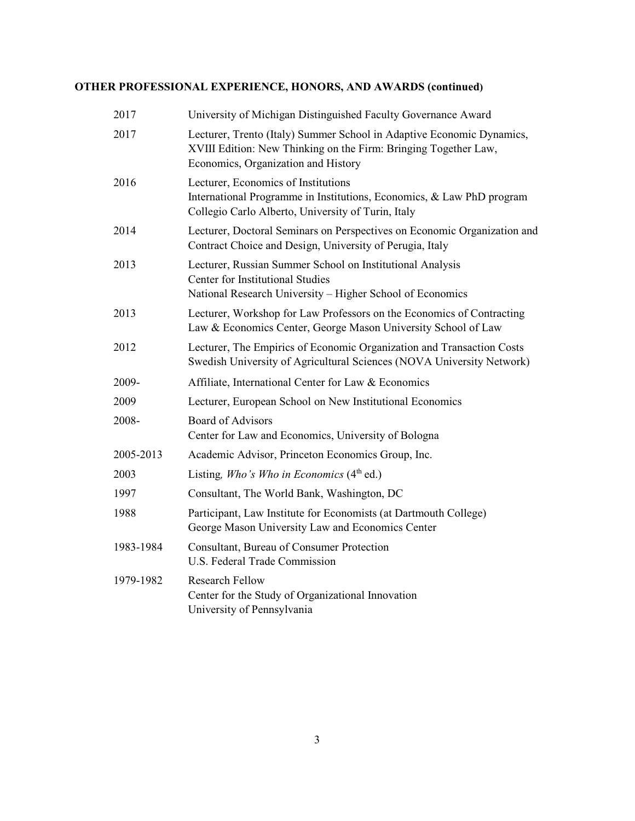### **OTHER PROFESSIONAL EXPERIENCE, HONORS, AND AWARDS (continued)**

| 2017      | University of Michigan Distinguished Faculty Governance Award                                                                                                                   |
|-----------|---------------------------------------------------------------------------------------------------------------------------------------------------------------------------------|
| 2017      | Lecturer, Trento (Italy) Summer School in Adaptive Economic Dynamics,<br>XVIII Edition: New Thinking on the Firm: Bringing Together Law,<br>Economics, Organization and History |
| 2016      | Lecturer, Economics of Institutions<br>International Programme in Institutions, Economics, & Law PhD program<br>Collegio Carlo Alberto, University of Turin, Italy              |
| 2014      | Lecturer, Doctoral Seminars on Perspectives on Economic Organization and<br>Contract Choice and Design, University of Perugia, Italy                                            |
| 2013      | Lecturer, Russian Summer School on Institutional Analysis<br>Center for Institutional Studies<br>National Research University - Higher School of Economics                      |
| 2013      | Lecturer, Workshop for Law Professors on the Economics of Contracting<br>Law & Economics Center, George Mason University School of Law                                          |
| 2012      | Lecturer, The Empirics of Economic Organization and Transaction Costs<br>Swedish University of Agricultural Sciences (NOVA University Network)                                  |
| 2009-     | Affiliate, International Center for Law & Economics                                                                                                                             |
| 2009      | Lecturer, European School on New Institutional Economics                                                                                                                        |
| 2008-     | <b>Board of Advisors</b><br>Center for Law and Economics, University of Bologna                                                                                                 |
| 2005-2013 | Academic Advisor, Princeton Economics Group, Inc.                                                                                                                               |
| 2003      | Listing, Who's Who in Economics $(4th$ ed.)                                                                                                                                     |
| 1997      | Consultant, The World Bank, Washington, DC                                                                                                                                      |
| 1988      | Participant, Law Institute for Economists (at Dartmouth College)<br>George Mason University Law and Economics Center                                                            |
| 1983-1984 | Consultant, Bureau of Consumer Protection<br>U.S. Federal Trade Commission                                                                                                      |
| 1979-1982 | <b>Research Fellow</b><br>Center for the Study of Organizational Innovation<br>University of Pennsylvania                                                                       |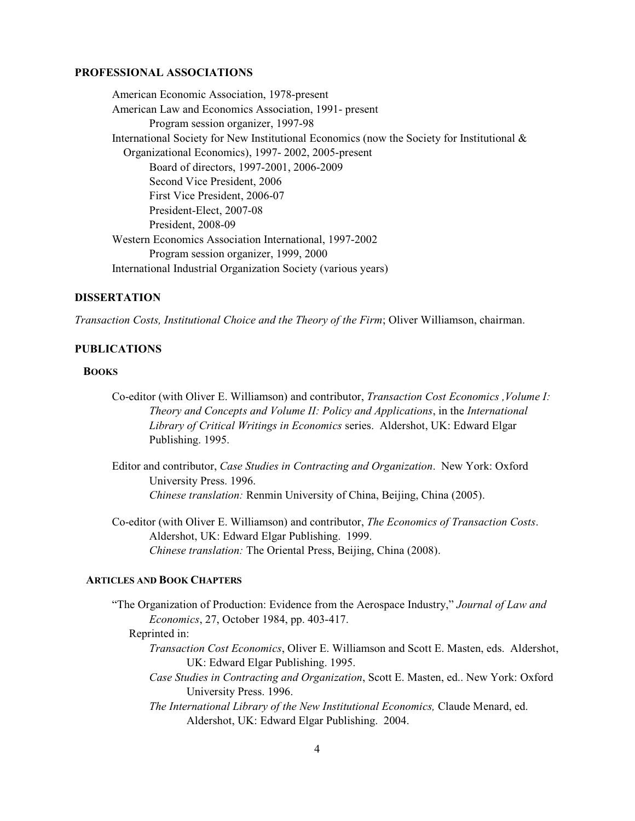#### **PROFESSIONAL ASSOCIATIONS**

American Economic Association, 1978-present American Law and Economics Association, 1991- present Program session organizer, 1997-98 International Society for New Institutional Economics (now the Society for Institutional & Organizational Economics), 1997- 2002, 2005-present Board of directors, 1997-2001, 2006-2009 Second Vice President, 2006 First Vice President, 2006-07 President-Elect, 2007-08 President, 2008-09 Western Economics Association International, 1997-2002 Program session organizer, 1999, 2000 International Industrial Organization Society (various years)

#### **DISSERTATION**

*Transaction Costs, Institutional Choice and the Theory of the Firm*; Oliver Williamson, chairman.

#### **PUBLICATIONS**

#### **BOOKS**

- Co-editor (with Oliver E. Williamson) and contributor, *Transaction Cost Economics ,Volume I: Theory and Concepts and Volume II: Policy and Applications*, in the *International Library of Critical Writings in Economics* series. Aldershot, UK: Edward Elgar Publishing. 1995.
- Editor and contributor, *Case Studies in Contracting and Organization*. New York: Oxford University Press. 1996. *Chinese translation:* Renmin University of China, Beijing, China (2005).
- Co-editor (with Oliver E. Williamson) and contributor, *The Economics of Transaction Costs*. Aldershot, UK: Edward Elgar Publishing. 1999. *Chinese translation:* The Oriental Press, Beijing, China (2008).

#### **ARTICLES AND BOOK CHAPTERS**

 "The Organization of Production: Evidence from the Aerospace Industry," *Journal of Law and Economics*, 27, October 1984, pp. 403-417.

#### Reprinted in:

- *Transaction Cost Economics*, Oliver E. Williamson and Scott E. Masten, eds. Aldershot, UK: Edward Elgar Publishing. 1995.
- *Case Studies in Contracting and Organization*, Scott E. Masten, ed.. New York: Oxford University Press. 1996.
- *The International Library of the New Institutional Economics,* Claude Menard, ed. Aldershot, UK: Edward Elgar Publishing. 2004.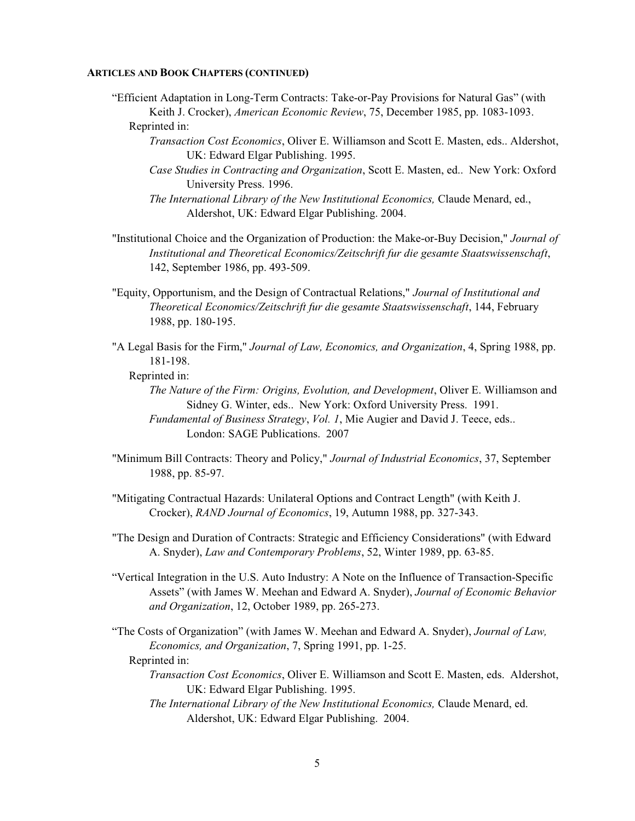"Efficient Adaptation in Long-Term Contracts: Take-or-Pay Provisions for Natural Gas" (with Keith J. Crocker), *American Economic Review*, 75, December 1985, pp. 1083-1093.

- *Transaction Cost Economics*, Oliver E. Williamson and Scott E. Masten, eds.. Aldershot, UK: Edward Elgar Publishing. 1995.
- *Case Studies in Contracting and Organization*, Scott E. Masten, ed.. New York: Oxford University Press. 1996.
- *The International Library of the New Institutional Economics,* Claude Menard, ed., Aldershot, UK: Edward Elgar Publishing. 2004.
- "Institutional Choice and the Organization of Production: the Make-or-Buy Decision," *Journal of Institutional and Theoretical Economics/Zeitschrift fur die gesamte Staatswissenschaft*, 142, September 1986, pp. 493-509.
- "Equity, Opportunism, and the Design of Contractual Relations," *Journal of Institutional and Theoretical Economics/Zeitschrift fur die gesamte Staatswissenschaft*, 144, February 1988, pp. 180-195.
- "A Legal Basis for the Firm," *Journal of Law, Economics, and Organization*, 4, Spring 1988, pp. 181-198.
	- Reprinted in:
		- *The Nature of the Firm: Origins, Evolution, and Development*, Oliver E. Williamson and Sidney G. Winter, eds.. New York: Oxford University Press. 1991. *Fundamental of Business Strategy*, *Vol. 1*, Mie Augier and David J. Teece, eds.. London: SAGE Publications. 2007
- "Minimum Bill Contracts: Theory and Policy," *Journal of Industrial Economics*, 37, September 1988, pp. 85-97.
- "Mitigating Contractual Hazards: Unilateral Options and Contract Length" (with Keith J. Crocker), *RAND Journal of Economics*, 19, Autumn 1988, pp. 327-343.
- "The Design and Duration of Contracts: Strategic and Efficiency Considerations" (with Edward A. Snyder), *Law and Contemporary Problems*, 52, Winter 1989, pp. 63-85.
- "Vertical Integration in the U.S. Auto Industry: A Note on the Influence of Transaction-Specific Assets" (with James W. Meehan and Edward A. Snyder), *Journal of Economic Behavior and Organization*, 12, October 1989, pp. 265-273.
- "The Costs of Organization" (with James W. Meehan and Edward A. Snyder), *Journal of Law, Economics, and Organization*, 7, Spring 1991, pp. 1-25. Reprinted in:
	- *Transaction Cost Economics*, Oliver E. Williamson and Scott E. Masten, eds. Aldershot, UK: Edward Elgar Publishing. 1995.
	- *The International Library of the New Institutional Economics,* Claude Menard, ed. Aldershot, UK: Edward Elgar Publishing. 2004.

Reprinted in: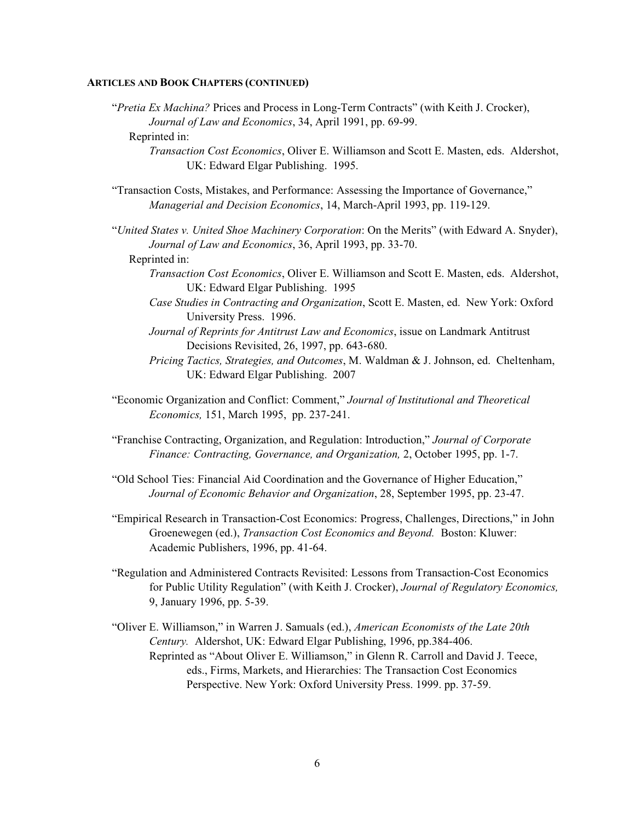"*Pretia Ex Machina?* Prices and Process in Long-Term Contracts" (with Keith J. Crocker), *Journal of Law and Economics*, 34, April 1991, pp. 69-99.

#### Reprinted in:

- *Transaction Cost Economics*, Oliver E. Williamson and Scott E. Masten, eds. Aldershot, UK: Edward Elgar Publishing. 1995.
- "Transaction Costs, Mistakes, and Performance: Assessing the Importance of Governance," *Managerial and Decision Economics*, 14, March-April 1993, pp. 119-129.
- "*United States v. United Shoe Machinery Corporation*: On the Merits" (with Edward A. Snyder), *Journal of Law and Economics*, 36, April 1993, pp. 33-70.

Reprinted in:

- *Transaction Cost Economics*, Oliver E. Williamson and Scott E. Masten, eds. Aldershot, UK: Edward Elgar Publishing. 1995
- *Case Studies in Contracting and Organization*, Scott E. Masten, ed. New York: Oxford University Press. 1996.
- *Journal of Reprints for Antitrust Law and Economics*, issue on Landmark Antitrust Decisions Revisited, 26, 1997, pp. 643-680.
- *Pricing Tactics, Strategies, and Outcomes*, M. Waldman & J. Johnson, ed. Cheltenham, UK: Edward Elgar Publishing. 2007
- "Economic Organization and Conflict: Comment," *Journal of Institutional and Theoretical Economics,* 151, March 1995, pp. 237-241.
- "Franchise Contracting, Organization, and Regulation: Introduction," *Journal of Corporate Finance: Contracting, Governance, and Organization,* 2, October 1995, pp. 1-7.
- "Old School Ties: Financial Aid Coordination and the Governance of Higher Education," *Journal of Economic Behavior and Organization*, 28, September 1995, pp. 23-47.
- "Empirical Research in Transaction-Cost Economics: Progress, Challenges, Directions," in John Groenewegen (ed.), *Transaction Cost Economics and Beyond.* Boston: Kluwer: Academic Publishers, 1996, pp. 41-64.
- "Regulation and Administered Contracts Revisited: Lessons from Transaction-Cost Economics for Public Utility Regulation" (with Keith J. Crocker), *Journal of Regulatory Economics,* 9, January 1996, pp. 5-39.
- "Oliver E. Williamson," in Warren J. Samuals (ed.), *American Economists of the Late 20th Century.* Aldershot, UK: Edward Elgar Publishing, 1996, pp.384-406. Reprinted as "About Oliver E. Williamson," in Glenn R. Carroll and David J. Teece, eds., Firms, Markets, and Hierarchies: The Transaction Cost Economics Perspective. New York: Oxford University Press. 1999. pp. 37-59.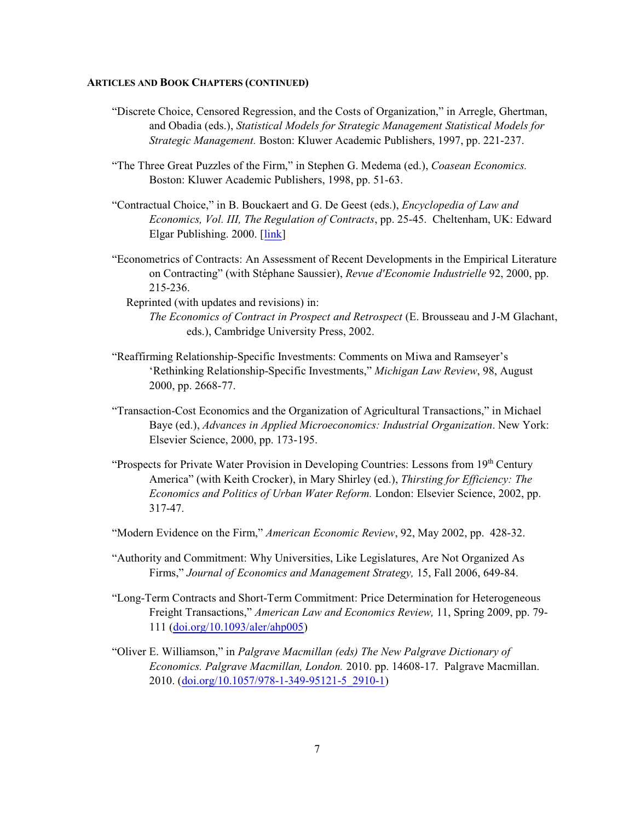- "Discrete Choice, Censored Regression, and the Costs of Organization," in Arregle, Ghertman, and Obadia (eds.), *Statistical Models for Strategic Management Statistical Models for Strategic Management.* Boston: Kluwer Academic Publishers, 1997, pp. 221-237.
- "The Three Great Puzzles of the Firm," in Stephen G. Medema (ed.), *Coasean Economics.* Boston: Kluwer Academic Publishers, 1998, pp. 51-63.
- "Contractual Choice," in B. Bouckaert and G. De Geest (eds.), *Encyclopedia of Law and Economics, Vol. III, The Regulation of Contracts*, pp. 25-45. Cheltenham, UK: Edward Elgar Publishing. 2000. [\[link](https://reference.findlaw.com/lawandeconomics/4100-contractual-choice.pdf)]
- "Econometrics of Contracts: An Assessment of Recent Developments in the Empirical Literature on Contracting" (with Stéphane Saussier), *Revue d'Economie Industrielle* 92, 2000, pp. 215-236.
	- Reprinted (with updates and revisions) in: *The Economics of Contract in Prospect and Retrospect* (E. Brousseau and J-M Glachant, eds.), Cambridge University Press, 2002.
- "Reaffirming Relationship-Specific Investments: Comments on Miwa and Ramseyer's 'Rethinking Relationship-Specific Investments," *Michigan Law Review*, 98, August 2000, pp. 2668-77.
- "Transaction-Cost Economics and the Organization of Agricultural Transactions," in Michael Baye (ed.), *Advances in Applied Microeconomics: Industrial Organization*. New York: Elsevier Science, 2000, pp. 173-195.
- "Prospects for Private Water Provision in Developing Countries: Lessons from 19th Century America" (with Keith Crocker), in Mary Shirley (ed.), *Thirsting for Efficiency: The Economics and Politics of Urban Water Reform.* London: Elsevier Science, 2002, pp. 317-47.
- "Modern Evidence on the Firm," *American Economic Review*, 92, May 2002, pp. 428-32.
- "Authority and Commitment: Why Universities, Like Legislatures, Are Not Organized As Firms," *Journal of Economics and Management Strategy,* 15, Fall 2006, 649-84.
- "Long-Term Contracts and Short-Term Commitment: Price Determination for Heterogeneous Freight Transactions," *American Law and Economics Review,* 11, Spring 2009, pp. 79- 111 ([doi.org/10.1093/aler/ahp005](https://doi.org/10.1093/aler/ahp005))
- "Oliver E. Williamson," in *Palgrave Macmillan (eds) The New Palgrave Dictionary of Economics. Palgrave Macmillan, London.* 2010. pp. 14608-17. Palgrave Macmillan. 2010. [\(doi.org/10.1057/978-1-349-95121-5\\_2910-1](https://doi.org/10.1057/978-1-349-95121-5_2910-1))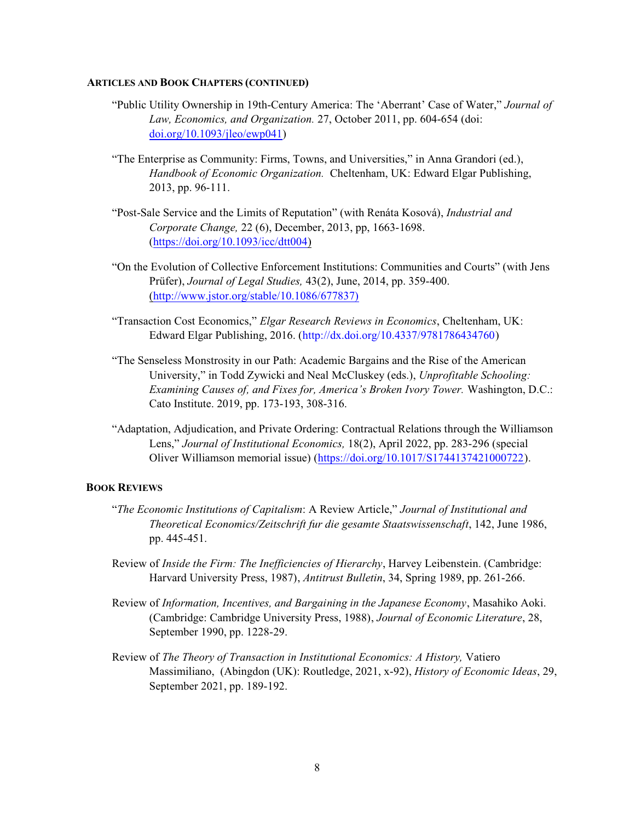- "Public Utility Ownership in 19th-Century America: The 'Aberrant' Case of Water," *Journal of Law, Economics, and Organization.* 27, October 2011, pp. 604-654 (doi: [doi.org/10.1093/jleo/ewp041](http://doi.org/10.1093/jleo/ewp041))
- "The Enterprise as Community: Firms, Towns, and Universities," in Anna Grandori (ed.), *Handbook of Economic Organization.* Cheltenham, UK: Edward Elgar Publishing, 2013, pp. 96-111.
- "Post-Sale Service and the Limits of Reputation" (with Renáta Kosová), *Industrial and Corporate Change,* 22 (6), December, 2013, pp, 1663-1698. [\(https://doi.org/10.1093/icc/dtt004](https://doi.org/10.1093/icc/dtt004))
- "On the Evolution of Collective Enforcement Institutions: Communities and Courts" (with Jens Prüfer), *Journal of Legal Studies,* 43(2), June, 2014, pp. 359-400. [\(http://www.jstor.org/stable/10.1086/677837\)]((http://www.jstor.org/stable/10.1086/677837))
- "Transaction Cost Economics," *Elgar Research Reviews in Economics*, Cheltenham, UK: Edward Elgar Publishing, 2016. [\(http://dx.doi.org/10.4337/9781786434760]((http://dx.doi.org/10.4337/9781786434760))
- "The Senseless Monstrosity in our Path: Academic Bargains and the Rise of the American University," in Todd Zywicki and Neal McCluskey (eds.), *Unprofitable Schooling: Examining Causes of, and Fixes for, America's Broken Ivory Tower.* Washington, D.C.: Cato Institute. 2019, pp. 173-193, 308-316.
- "Adaptation, Adjudication, and Private Ordering: Contractual Relations through the Williamson Lens," *Journal of Institutional Economics,* 18(2), April 2022, pp. 283-296 (special Oliver Williamson memorial issue) [\(https://doi.org/10.1017/S1744137421000722]((https://doi.org/10.1017/S1744137421000722)).

#### **BOOK REVIEWS**

- "*The Economic Institutions of Capitalism*: A Review Article," *Journal of Institutional and Theoretical Economics/Zeitschrift fur die gesamte Staatswissenschaft*, 142, June 1986, pp. 445-451.
- Review of *Inside the Firm: The Inefficiencies of Hierarchy*, Harvey Leibenstein. (Cambridge: Harvard University Press, 1987), *Antitrust Bulletin*, 34, Spring 1989, pp. 261-266.
- Review of *Information, Incentives, and Bargaining in the Japanese Economy*, Masahiko Aoki. (Cambridge: Cambridge University Press, 1988), *Journal of Economic Literature*, 28, September 1990, pp. 1228-29.
- Review of *The Theory of Transaction in Institutional Economics: A History,* Vatiero Massimiliano, (Abingdon (UK): Routledge, 2021, x-92), *History of Economic Ideas*, 29, September 2021, pp. 189-192.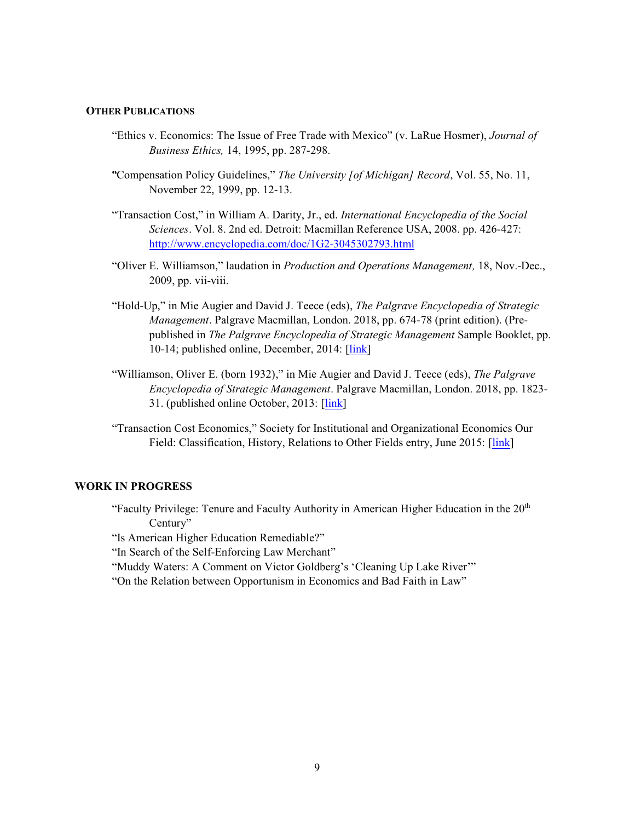#### **OTHER PUBLICATIONS**

- "Ethics v. Economics: The Issue of Free Trade with Mexico" (v. LaRue Hosmer), *Journal of Business Ethics,* 14, 1995, pp. 287-298.
- ""Compensation Policy Guidelines," *The University [of Michigan] Record*, Vol. 55, No. 11, November 22, 1999, pp. 12-13.
- "Transaction Cost," in William A. Darity, Jr., ed. *International Encyclopedia of the Social Sciences*. Vol. 8. 2nd ed. Detroit: Macmillan Reference USA, 2008. pp. 426-427: <http://www.encyclopedia.com/doc/1G2-3045302793.html>
- "Oliver E. Williamson," laudation in *Production and Operations Management,* 18, Nov.-Dec., 2009, pp. vii-viii.
- "Hold-Up," in Mie Augier and David J. Teece (eds), *The Palgrave Encyclopedia of Strategic Management*. Palgrave Macmillan, London. 2018, pp. 674-78 (print edition). (Prepublished in *The Palgrave Encyclopedia of Strategic Management* Sample Booklet, pp. 10-14; published online, December, 2014: [\[link](https://link.springer.com/referenceworkentry/10.1057/978-1-137-00772-8_579)]
- "Williamson, Oliver E. (born 1932)," in Mie Augier and David J. Teece (eds), *The Palgrave Encyclopedia of Strategic Management*. Palgrave Macmillan, London. 2018, pp. 1823- 31. (published online October, 2013: [\[link](https://link.springer.com/referenceworkentry/10.1057/978-1-137-00772-8_662)]
- "Transaction Cost Economics," Society for Institutional and Organizational Economics Our Field: Classification, History, Relations to Other Fields entry, June 2015: [\[link](http://sioe.org/field/transaction-cost-economics)]

#### **WORK IN PROGRESS**

- "Faculty Privilege: Tenure and Faculty Authority in American Higher Education in the  $20<sup>th</sup>$ Century"
- "Is American Higher Education Remediable?"

"In Search of the Self-Enforcing Law Merchant"

- "Muddy Waters: A Comment on Victor Goldberg's 'Cleaning Up Lake River'"
- "On the Relation between Opportunism in Economics and Bad Faith in Law"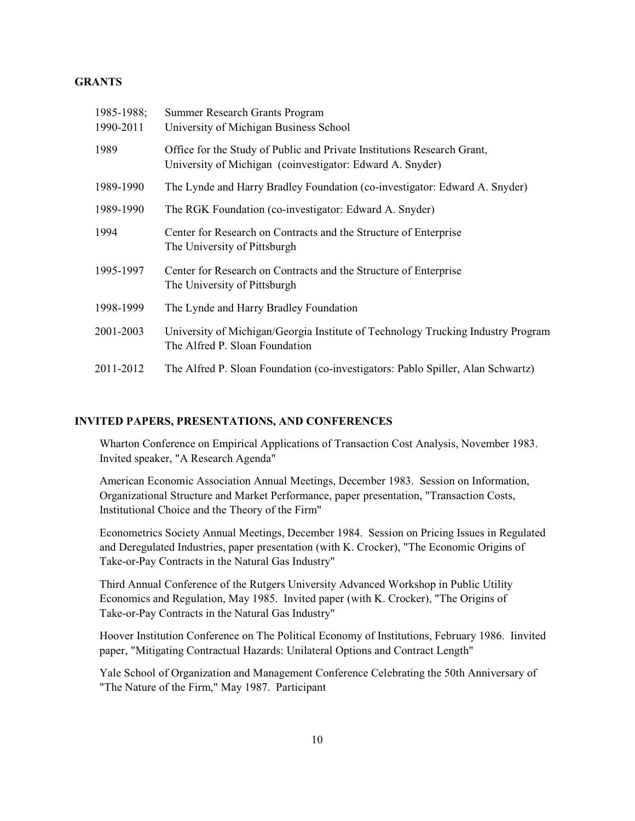#### **GRANTS**

| 1985-1988;<br>1990-2011 | Summer Research Grants Program<br>University of Michigan Business School                                                             |
|-------------------------|--------------------------------------------------------------------------------------------------------------------------------------|
| 1989                    | Office for the Study of Public and Private Institutions Research Grant,<br>University of Michigan (coinvestigator: Edward A. Snyder) |
| 1989-1990               | The Lynde and Harry Bradley Foundation (co-investigator: Edward A. Snyder)                                                           |
| 1989-1990               | The RGK Foundation (co-investigator: Edward A. Snyder)                                                                               |
| 1994                    | Center for Research on Contracts and the Structure of Enterprise<br>The University of Pittsburgh                                     |
| 1995-1997               | Center for Research on Contracts and the Structure of Enterprise<br>The University of Pittsburgh                                     |
| 1998-1999               | The Lynde and Harry Bradley Foundation                                                                                               |
| 2001-2003               | University of Michigan/Georgia Institute of Technology Trucking Industry Program<br>The Alfred P. Sloan Foundation                   |
| 2011-2012               | The Alfred P. Sloan Foundation (co-investigators: Pablo Spiller, Alan Schwartz)                                                      |

#### **INVITED PAPERS, PRESENTATIONS, AND CONFERENCES**

Wharton Conference on Empirical Applications of Transaction Cost Analysis, November 1983. Invited speaker, "A Research Agenda"

American Economic Association Annual Meetings, December 1983. Session on Information, Organizational Structure and Market Performance, paper presentation, "Transaction Costs, Institutional Choice and the Theory of the Firm"

Econometrics Society Annual Meetings, December 1984. Session on Pricing Issues in Regulated and Deregulated Industries, paper presentation (with K. Crocker), "The Economic Origins of Take-or-Pay Contracts in the Natural Gas Industry"

Third Annual Conference of the Rutgers University Advanced Workshop in Public Utility Economics and Regulation, May 1985. Invited paper (with K. Crocker), "The Origins of Take-or-Pay Contracts in the Natural Gas Industry"

Hoover Institution Conference on The Political Economy of Institutions, February 1986. Iinvited paper, "Mitigating Contractual Hazards: Unilateral Options and Contract Length"

Yale School of Organization and Management Conference Celebrating the 50th Anniversary of "The Nature of the Firm," May 1987. Participant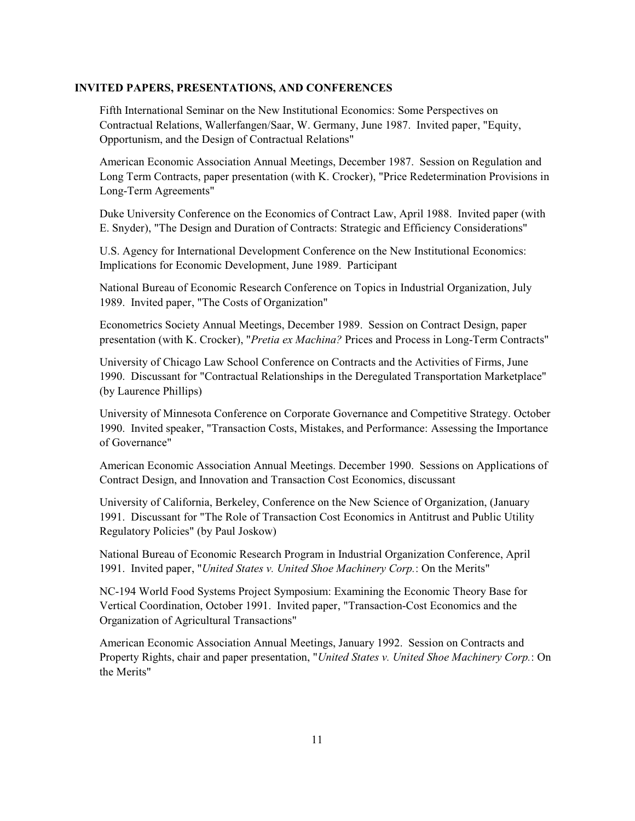Fifth International Seminar on the New Institutional Economics: Some Perspectives on Contractual Relations, Wallerfangen/Saar, W. Germany, June 1987. Invited paper, "Equity, Opportunism, and the Design of Contractual Relations"

American Economic Association Annual Meetings, December 1987. Session on Regulation and Long Term Contracts, paper presentation (with K. Crocker), "Price Redetermination Provisions in Long-Term Agreements"

Duke University Conference on the Economics of Contract Law, April 1988. Invited paper (with E. Snyder), "The Design and Duration of Contracts: Strategic and Efficiency Considerations"

U.S. Agency for International Development Conference on the New Institutional Economics: Implications for Economic Development, June 1989. Participant

National Bureau of Economic Research Conference on Topics in Industrial Organization, July 1989. Invited paper, "The Costs of Organization"

Econometrics Society Annual Meetings, December 1989. Session on Contract Design, paper presentation (with K. Crocker), "*Pretia ex Machina?* Prices and Process in Long-Term Contracts"

University of Chicago Law School Conference on Contracts and the Activities of Firms, June 1990. Discussant for "Contractual Relationships in the Deregulated Transportation Marketplace" (by Laurence Phillips)

University of Minnesota Conference on Corporate Governance and Competitive Strategy. October 1990. Invited speaker, "Transaction Costs, Mistakes, and Performance: Assessing the Importance of Governance"

American Economic Association Annual Meetings. December 1990. Sessions on Applications of Contract Design, and Innovation and Transaction Cost Economics, discussant

University of California, Berkeley, Conference on the New Science of Organization, (January 1991. Discussant for "The Role of Transaction Cost Economics in Antitrust and Public Utility Regulatory Policies" (by Paul Joskow)

National Bureau of Economic Research Program in Industrial Organization Conference, April 1991. Invited paper, "*United States v. United Shoe Machinery Corp.*: On the Merits"

NC-194 World Food Systems Project Symposium: Examining the Economic Theory Base for Vertical Coordination, October 1991. Invited paper, "Transaction-Cost Economics and the Organization of Agricultural Transactions"

American Economic Association Annual Meetings, January 1992. Session on Contracts and Property Rights, chair and paper presentation, "*United States v. United Shoe Machinery Corp.*: On the Merits"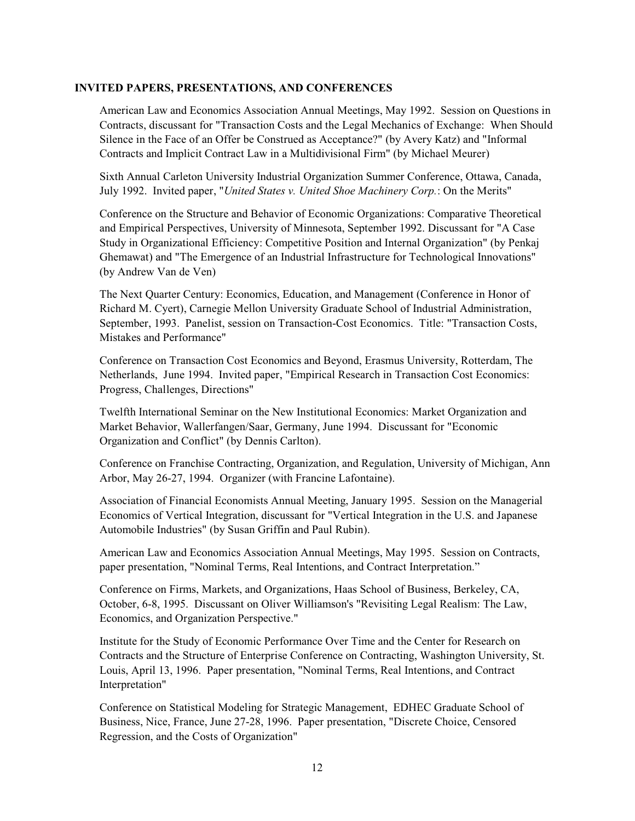American Law and Economics Association Annual Meetings, May 1992. Session on Questions in Contracts, discussant for "Transaction Costs and the Legal Mechanics of Exchange: When Should Silence in the Face of an Offer be Construed as Acceptance?" (by Avery Katz) and "Informal Contracts and Implicit Contract Law in a Multidivisional Firm" (by Michael Meurer)

Sixth Annual Carleton University Industrial Organization Summer Conference, Ottawa, Canada, July 1992. Invited paper, "*United States v. United Shoe Machinery Corp.*: On the Merits"

Conference on the Structure and Behavior of Economic Organizations: Comparative Theoretical and Empirical Perspectives, University of Minnesota, September 1992. Discussant for "A Case Study in Organizational Efficiency: Competitive Position and Internal Organization" (by Penkaj Ghemawat) and "The Emergence of an Industrial Infrastructure for Technological Innovations" (by Andrew Van de Ven)

The Next Quarter Century: Economics, Education, and Management (Conference in Honor of Richard M. Cyert), Carnegie Mellon University Graduate School of Industrial Administration, September, 1993. Panelist, session on Transaction-Cost Economics. Title: "Transaction Costs, Mistakes and Performance"

Conference on Transaction Cost Economics and Beyond, Erasmus University, Rotterdam, The Netherlands, June 1994. Invited paper, "Empirical Research in Transaction Cost Economics: Progress, Challenges, Directions"

Twelfth International Seminar on the New Institutional Economics: Market Organization and Market Behavior, Wallerfangen/Saar, Germany, June 1994. Discussant for "Economic Organization and Conflict" (by Dennis Carlton).

Conference on Franchise Contracting, Organization, and Regulation, University of Michigan, Ann Arbor, May 26-27, 1994. Organizer (with Francine Lafontaine).

Association of Financial Economists Annual Meeting, January 1995. Session on the Managerial Economics of Vertical Integration, discussant for "Vertical Integration in the U.S. and Japanese Automobile Industries" (by Susan Griffin and Paul Rubin).

American Law and Economics Association Annual Meetings, May 1995. Session on Contracts, paper presentation, "Nominal Terms, Real Intentions, and Contract Interpretation."

Conference on Firms, Markets, and Organizations, Haas School of Business, Berkeley, CA, October, 6-8, 1995. Discussant on Oliver Williamson's "Revisiting Legal Realism: The Law, Economics, and Organization Perspective."

Institute for the Study of Economic Performance Over Time and the Center for Research on Contracts and the Structure of Enterprise Conference on Contracting, Washington University, St. Louis, April 13, 1996. Paper presentation, "Nominal Terms, Real Intentions, and Contract Interpretation"

Conference on Statistical Modeling for Strategic Management, EDHEC Graduate School of Business, Nice, France, June 27-28, 1996. Paper presentation, "Discrete Choice, Censored Regression, and the Costs of Organization"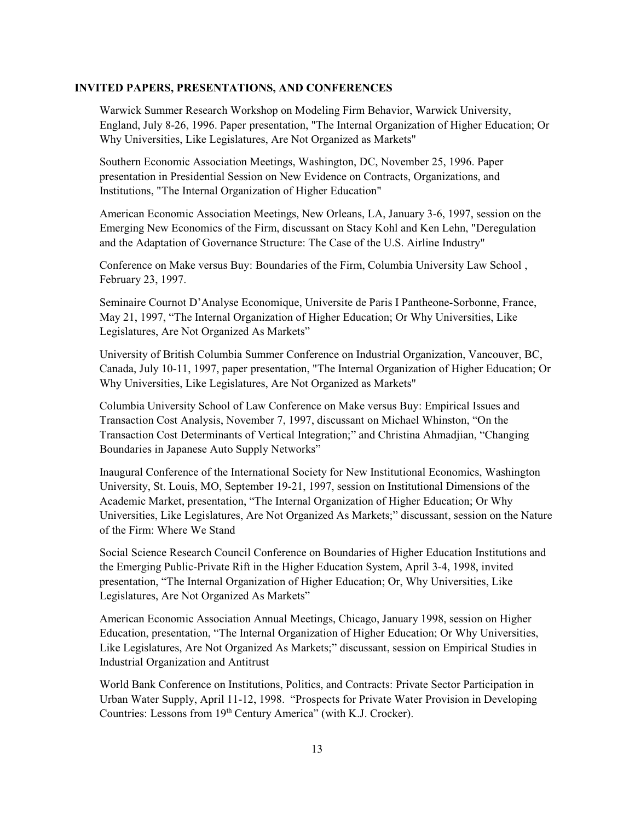Warwick Summer Research Workshop on Modeling Firm Behavior, Warwick University, England, July 8-26, 1996. Paper presentation, "The Internal Organization of Higher Education; Or Why Universities, Like Legislatures, Are Not Organized as Markets"

Southern Economic Association Meetings, Washington, DC, November 25, 1996. Paper presentation in Presidential Session on New Evidence on Contracts, Organizations, and Institutions, "The Internal Organization of Higher Education"

American Economic Association Meetings, New Orleans, LA, January 3-6, 1997, session on the Emerging New Economics of the Firm, discussant on Stacy Kohl and Ken Lehn, "Deregulation and the Adaptation of Governance Structure: The Case of the U.S. Airline Industry"

Conference on Make versus Buy: Boundaries of the Firm, Columbia University Law School , February 23, 1997.

Seminaire Cournot D'Analyse Economique, Universite de Paris I Pantheone-Sorbonne, France, May 21, 1997, "The Internal Organization of Higher Education; Or Why Universities, Like Legislatures, Are Not Organized As Markets"

University of British Columbia Summer Conference on Industrial Organization, Vancouver, BC, Canada, July 10-11, 1997, paper presentation, "The Internal Organization of Higher Education; Or Why Universities, Like Legislatures, Are Not Organized as Markets"

Columbia University School of Law Conference on Make versus Buy: Empirical Issues and Transaction Cost Analysis, November 7, 1997, discussant on Michael Whinston, "On the Transaction Cost Determinants of Vertical Integration;" and Christina Ahmadjian, "Changing Boundaries in Japanese Auto Supply Networks"

Inaugural Conference of the International Society for New Institutional Economics, Washington University, St. Louis, MO, September 19-21, 1997, session on Institutional Dimensions of the Academic Market, presentation, "The Internal Organization of Higher Education; Or Why Universities, Like Legislatures, Are Not Organized As Markets;" discussant, session on the Nature of the Firm: Where We Stand

Social Science Research Council Conference on Boundaries of Higher Education Institutions and the Emerging Public-Private Rift in the Higher Education System, April 3-4, 1998, invited presentation, "The Internal Organization of Higher Education; Or, Why Universities, Like Legislatures, Are Not Organized As Markets"

American Economic Association Annual Meetings, Chicago, January 1998, session on Higher Education, presentation, "The Internal Organization of Higher Education; Or Why Universities, Like Legislatures, Are Not Organized As Markets;" discussant, session on Empirical Studies in Industrial Organization and Antitrust

World Bank Conference on Institutions, Politics, and Contracts: Private Sector Participation in Urban Water Supply, April 11-12, 1998. "Prospects for Private Water Provision in Developing Countries: Lessons from 19<sup>th</sup> Century America" (with K.J. Crocker).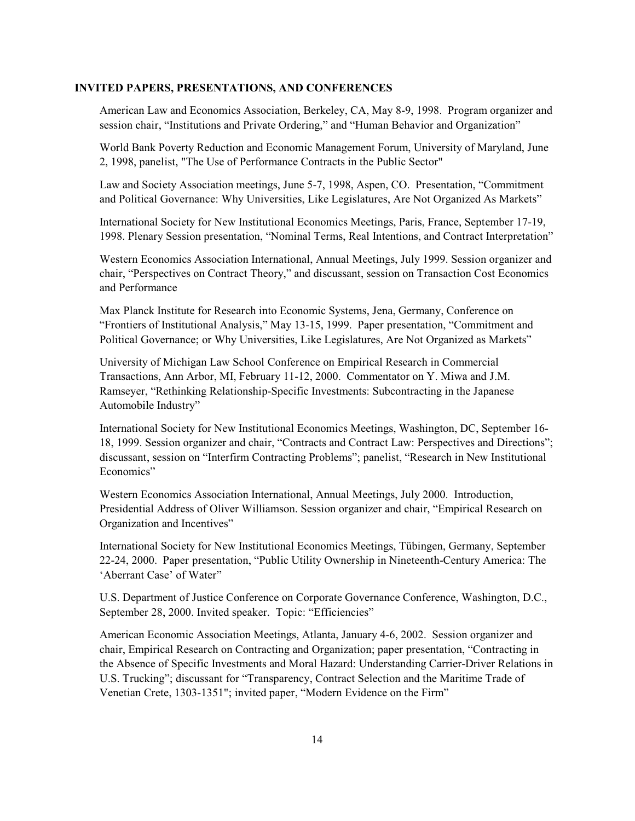American Law and Economics Association, Berkeley, CA, May 8-9, 1998. Program organizer and session chair, "Institutions and Private Ordering," and "Human Behavior and Organization"

World Bank Poverty Reduction and Economic Management Forum, University of Maryland, June 2, 1998, panelist, "The Use of Performance Contracts in the Public Sector"

Law and Society Association meetings, June 5-7, 1998, Aspen, CO. Presentation, "Commitment and Political Governance: Why Universities, Like Legislatures, Are Not Organized As Markets"

International Society for New Institutional Economics Meetings, Paris, France, September 17-19, 1998. Plenary Session presentation, "Nominal Terms, Real Intentions, and Contract Interpretation"

Western Economics Association International, Annual Meetings, July 1999. Session organizer and chair, "Perspectives on Contract Theory," and discussant, session on Transaction Cost Economics and Performance

Max Planck Institute for Research into Economic Systems, Jena, Germany, Conference on "Frontiers of Institutional Analysis," May 13-15, 1999. Paper presentation, "Commitment and Political Governance; or Why Universities, Like Legislatures, Are Not Organized as Markets"

University of Michigan Law School Conference on Empirical Research in Commercial Transactions, Ann Arbor, MI, February 11-12, 2000. Commentator on Y. Miwa and J.M. Ramseyer, "Rethinking Relationship-Specific Investments: Subcontracting in the Japanese Automobile Industry"

International Society for New Institutional Economics Meetings, Washington, DC, September 16- 18, 1999. Session organizer and chair, "Contracts and Contract Law: Perspectives and Directions"; discussant, session on "Interfirm Contracting Problems"; panelist, "Research in New Institutional Economics"

Western Economics Association International, Annual Meetings, July 2000. Introduction, Presidential Address of Oliver Williamson. Session organizer and chair, "Empirical Research on Organization and Incentives"

International Society for New Institutional Economics Meetings, Tübingen, Germany, September 22-24, 2000. Paper presentation, "Public Utility Ownership in Nineteenth-Century America: The 'Aberrant Case' of Water"

U.S. Department of Justice Conference on Corporate Governance Conference, Washington, D.C., September 28, 2000. Invited speaker. Topic: "Efficiencies"

American Economic Association Meetings, Atlanta, January 4-6, 2002. Session organizer and chair, Empirical Research on Contracting and Organization; paper presentation, "Contracting in the Absence of Specific Investments and Moral Hazard: Understanding Carrier-Driver Relations in U.S. Trucking"; discussant for "Transparency, Contract Selection and the Maritime Trade of Venetian Crete, 1303-1351"; invited paper, "Modern Evidence on the Firm"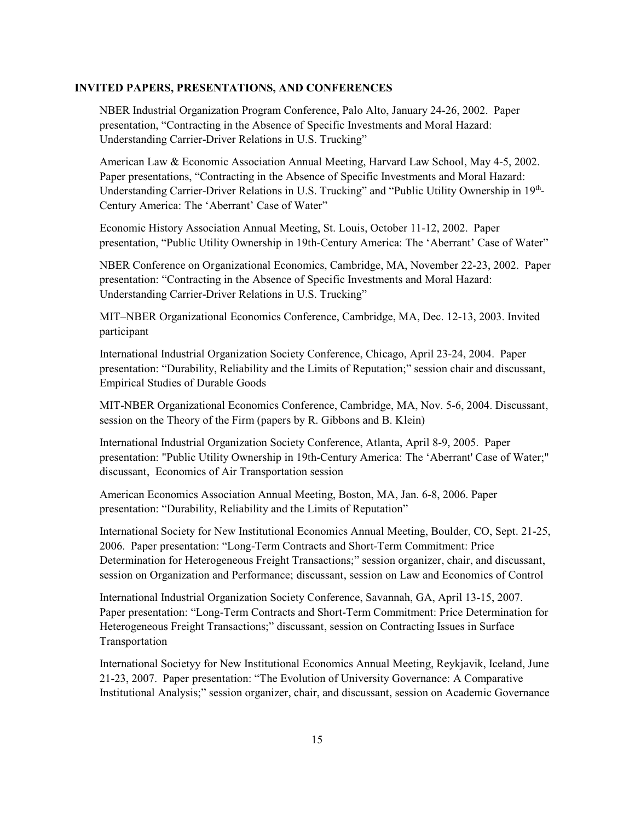NBER Industrial Organization Program Conference, Palo Alto, January 24-26, 2002. Paper presentation, "Contracting in the Absence of Specific Investments and Moral Hazard: Understanding Carrier-Driver Relations in U.S. Trucking"

American Law & Economic Association Annual Meeting, Harvard Law School, May 4-5, 2002. Paper presentations, "Contracting in the Absence of Specific Investments and Moral Hazard: Understanding Carrier-Driver Relations in U.S. Trucking" and "Public Utility Ownership in 19th-Century America: The 'Aberrant' Case of Water"

Economic History Association Annual Meeting, St. Louis, October 11-12, 2002. Paper presentation, "Public Utility Ownership in 19th-Century America: The 'Aberrant' Case of Water"

NBER Conference on Organizational Economics, Cambridge, MA, November 22-23, 2002. Paper presentation: "Contracting in the Absence of Specific Investments and Moral Hazard: Understanding Carrier-Driver Relations in U.S. Trucking"

MIT–NBER Organizational Economics Conference, Cambridge, MA, Dec. 12-13, 2003. Invited participant

International Industrial Organization Society Conference, Chicago, April 23-24, 2004. Paper presentation: "Durability, Reliability and the Limits of Reputation;" session chair and discussant, Empirical Studies of Durable Goods

MIT-NBER Organizational Economics Conference, Cambridge, MA, Nov. 5-6, 2004. Discussant, session on the Theory of the Firm (papers by R. Gibbons and B. Klein)

International Industrial Organization Society Conference, Atlanta, April 8-9, 2005. Paper presentation: "Public Utility Ownership in 19th-Century America: The 'Aberrant' Case of Water;" discussant, Economics of Air Transportation session

American Economics Association Annual Meeting, Boston, MA, Jan. 6-8, 2006. Paper presentation: "Durability, Reliability and the Limits of Reputation"

International Society for New Institutional Economics Annual Meeting, Boulder, CO, Sept. 21-25, 2006. Paper presentation: "Long-Term Contracts and Short-Term Commitment: Price Determination for Heterogeneous Freight Transactions;" session organizer, chair, and discussant, session on Organization and Performance; discussant, session on Law and Economics of Control

International Industrial Organization Society Conference, Savannah, GA, April 13-15, 2007. Paper presentation: "Long-Term Contracts and Short-Term Commitment: Price Determination for Heterogeneous Freight Transactions;" discussant, session on Contracting Issues in Surface Transportation

International Societyy for New Institutional Economics Annual Meeting, Reykjavik, Iceland, June 21-23, 2007. Paper presentation: "The Evolution of University Governance: A Comparative Institutional Analysis;" session organizer, chair, and discussant, session on Academic Governance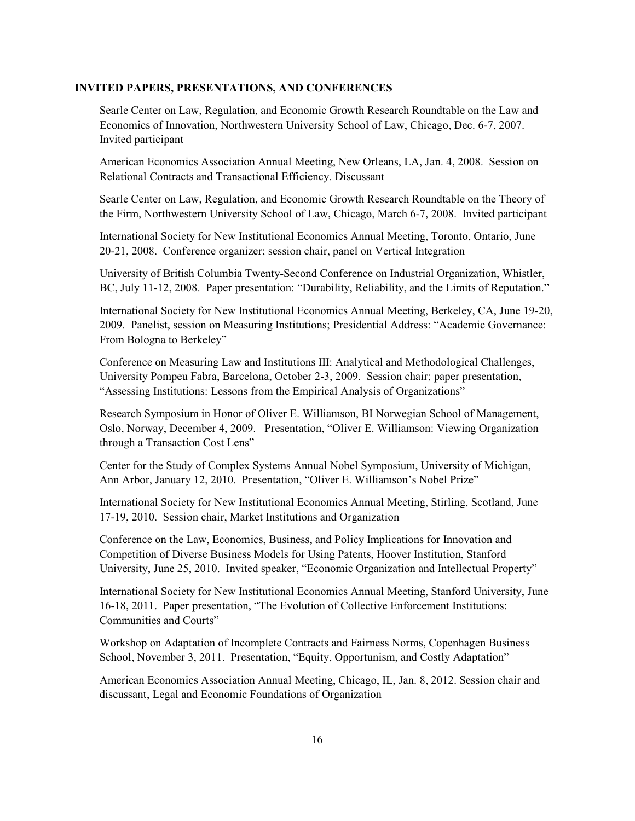Searle Center on Law, Regulation, and Economic Growth Research Roundtable on the Law and Economics of Innovation, Northwestern University School of Law, Chicago, Dec. 6-7, 2007. Invited participant

American Economics Association Annual Meeting, New Orleans, LA, Jan. 4, 2008. Session on Relational Contracts and Transactional Efficiency. Discussant

Searle Center on Law, Regulation, and Economic Growth Research Roundtable on the Theory of the Firm, Northwestern University School of Law, Chicago, March 6-7, 2008. Invited participant

International Society for New Institutional Economics Annual Meeting, Toronto, Ontario, June 20-21, 2008. Conference organizer; session chair, panel on Vertical Integration

University of British Columbia Twenty-Second Conference on Industrial Organization, Whistler, BC, July 11-12, 2008. Paper presentation: "Durability, Reliability, and the Limits of Reputation."

International Society for New Institutional Economics Annual Meeting, Berkeley, CA, June 19-20, 2009. Panelist, session on Measuring Institutions; Presidential Address: "Academic Governance: From Bologna to Berkeley"

Conference on Measuring Law and Institutions III: Analytical and Methodological Challenges, University Pompeu Fabra, Barcelona, October 2-3, 2009. Session chair; paper presentation, "Assessing Institutions: Lessons from the Empirical Analysis of Organizations"

Research Symposium in Honor of Oliver E. Williamson, BI Norwegian School of Management, Oslo, Norway, December 4, 2009. Presentation, "Oliver E. Williamson: Viewing Organization through a Transaction Cost Lens"

Center for the Study of Complex Systems Annual Nobel Symposium, University of Michigan, Ann Arbor, January 12, 2010. Presentation, "Oliver E. Williamson's Nobel Prize"

International Society for New Institutional Economics Annual Meeting, Stirling, Scotland, June 17-19, 2010. Session chair, Market Institutions and Organization

Conference on the Law, Economics, Business, and Policy Implications for Innovation and Competition of Diverse Business Models for Using Patents, Hoover Institution, Stanford University, June 25, 2010. Invited speaker, "Economic Organization and Intellectual Property"

International Society for New Institutional Economics Annual Meeting, Stanford University, June 16-18, 2011. Paper presentation, "The Evolution of Collective Enforcement Institutions: Communities and Courts"

Workshop on Adaptation of Incomplete Contracts and Fairness Norms, Copenhagen Business School, November 3, 2011. Presentation, "Equity, Opportunism, and Costly Adaptation"

American Economics Association Annual Meeting, Chicago, IL, Jan. 8, 2012. Session chair and discussant, Legal and Economic Foundations of Organization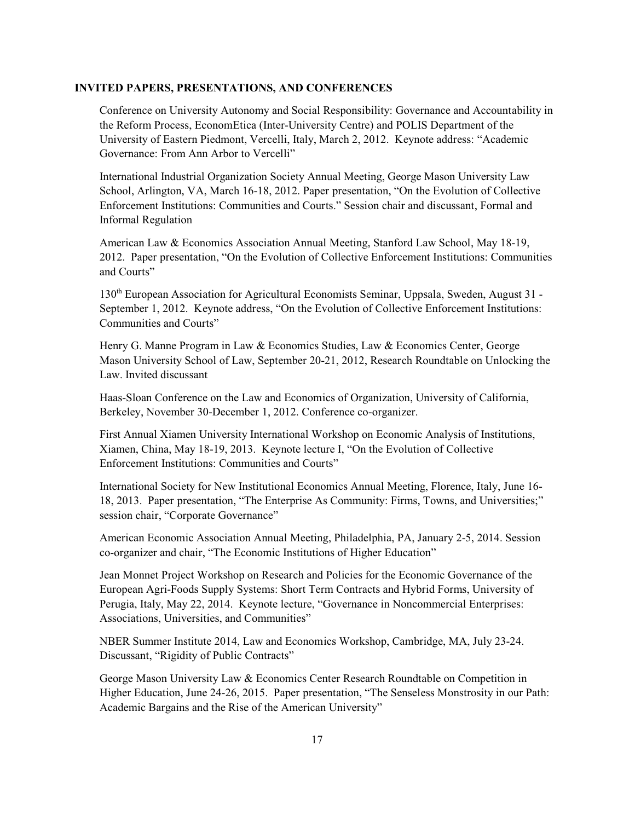Conference on University Autonomy and Social Responsibility: Governance and Accountability in the Reform Process, EconomEtica (Inter-University Centre) and POLIS Department of the University of Eastern Piedmont, Vercelli, Italy, March 2, 2012. Keynote address: "Academic Governance: From Ann Arbor to Vercelli"

International Industrial Organization Society Annual Meeting, George Mason University Law School, Arlington, VA, March 16-18, 2012. Paper presentation, "On the Evolution of Collective Enforcement Institutions: Communities and Courts." Session chair and discussant, Formal and Informal Regulation

American Law & Economics Association Annual Meeting, Stanford Law School, May 18-19, 2012. Paper presentation, "On the Evolution of Collective Enforcement Institutions: Communities and Courts"

130<sup>th</sup> European Association for Agricultural Economists Seminar, Uppsala, Sweden, August 31 -September 1, 2012. Keynote address, "On the Evolution of Collective Enforcement Institutions: Communities and Courts"

Henry G. Manne Program in Law & Economics Studies, Law & Economics Center, George Mason University School of Law, September 20-21, 2012, Research Roundtable on Unlocking the Law. Invited discussant

Haas-Sloan Conference on the Law and Economics of Organization, University of California, Berkeley, November 30-December 1, 2012. Conference co-organizer.

First Annual Xiamen University International Workshop on Economic Analysis of Institutions, Xiamen, China, May 18-19, 2013. Keynote lecture I, "On the Evolution of Collective Enforcement Institutions: Communities and Courts"

International Society for New Institutional Economics Annual Meeting, Florence, Italy, June 16- 18, 2013. Paper presentation, "The Enterprise As Community: Firms, Towns, and Universities;" session chair, "Corporate Governance"

American Economic Association Annual Meeting, Philadelphia, PA, January 2-5, 2014. Session co-organizer and chair, "The Economic Institutions of Higher Education"

Jean Monnet Project Workshop on Research and Policies for the Economic Governance of the European Agri-Foods Supply Systems: Short Term Contracts and Hybrid Forms, University of Perugia, Italy, May 22, 2014. Keynote lecture, "Governance in Noncommercial Enterprises: Associations, Universities, and Communities"

NBER Summer Institute 2014, Law and Economics Workshop, Cambridge, MA, July 23-24. Discussant, "Rigidity of Public Contracts"

George Mason University Law & Economics Center Research Roundtable on Competition in Higher Education, June 24-26, 2015. Paper presentation, "The Senseless Monstrosity in our Path: Academic Bargains and the Rise of the American University"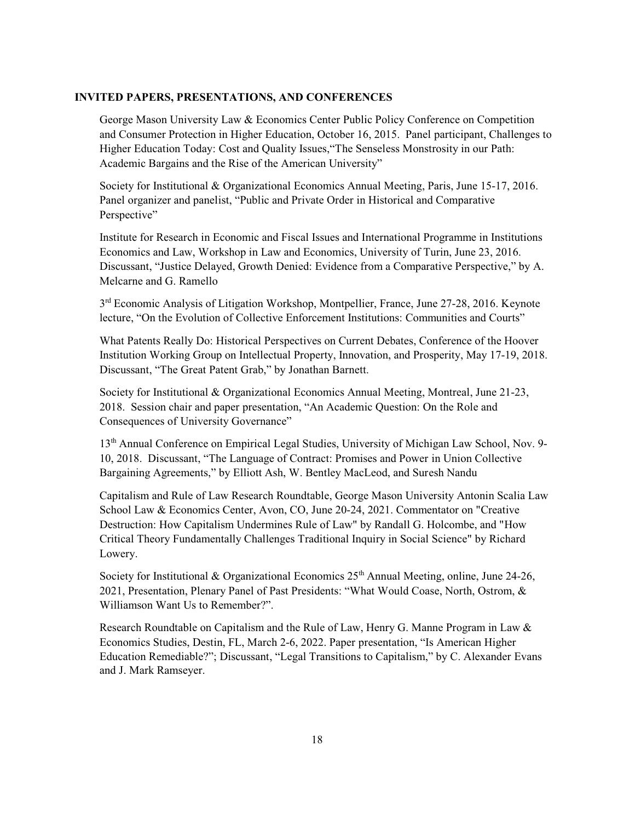George Mason University Law & Economics Center Public Policy Conference on Competition and Consumer Protection in Higher Education, October 16, 2015. Panel participant, Challenges to Higher Education Today: Cost and Quality Issues,"The Senseless Monstrosity in our Path: Academic Bargains and the Rise of the American University"

Society for Institutional & Organizational Economics Annual Meeting, Paris, June 15-17, 2016. Panel organizer and panelist, "Public and Private Order in Historical and Comparative Perspective"

Institute for Research in Economic and Fiscal Issues and International Programme in Institutions Economics and Law, Workshop in Law and Economics, University of Turin, June 23, 2016. Discussant, "Justice Delayed, Growth Denied: Evidence from a Comparative Perspective," by A. Melcarne and G. Ramello

3<sup>rd</sup> Economic Analysis of Litigation Workshop, Montpellier, France, June 27-28, 2016. Keynote lecture, "On the Evolution of Collective Enforcement Institutions: Communities and Courts"

What Patents Really Do: Historical Perspectives on Current Debates, Conference of the Hoover Institution Working Group on Intellectual Property, Innovation, and Prosperity, May 17-19, 2018. Discussant, "The Great Patent Grab," by Jonathan Barnett.

Society for Institutional & Organizational Economics Annual Meeting, Montreal, June 21-23, 2018. Session chair and paper presentation, "An Academic Question: On the Role and Consequences of University Governance"

13<sup>th</sup> Annual Conference on Empirical Legal Studies, University of Michigan Law School, Nov. 9-10, 2018. Discussant, "The Language of Contract: Promises and Power in Union Collective Bargaining Agreements," by Elliott Ash, W. Bentley MacLeod, and Suresh Nandu

Capitalism and Rule of Law Research Roundtable, George Mason University Antonin Scalia Law School Law & Economics Center, Avon, CO, June 20-24, 2021. Commentator on "Creative Destruction: How Capitalism Undermines Rule of Law" by Randall G. Holcombe, and "How Critical Theory Fundamentally Challenges Traditional Inquiry in Social Science" by Richard Lowery.

Society for Institutional & Organizational Economics  $25<sup>th</sup>$  Annual Meeting, online, June 24-26, 2021, Presentation, Plenary Panel of Past Presidents: "What Would Coase, North, Ostrom, & Williamson Want Us to Remember?".

Research Roundtable on Capitalism and the Rule of Law, Henry G. Manne Program in Law & Economics Studies, Destin, FL, March 2-6, 2022. Paper presentation, "Is American Higher Education Remediable?"; Discussant, "Legal Transitions to Capitalism," by C. Alexander Evans and J. Mark Ramseyer.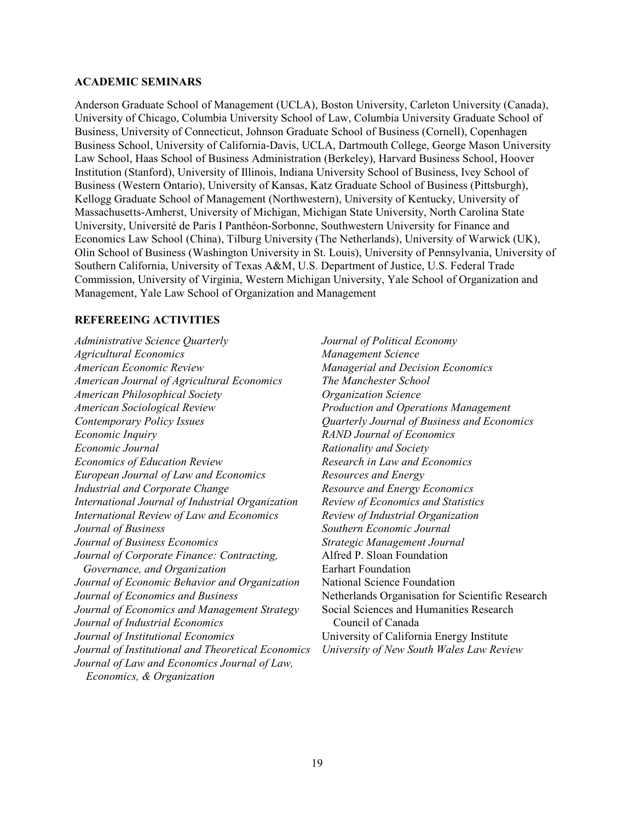#### **ACADEMIC SEMINARS**

Anderson Graduate School of Management (UCLA), Boston University, Carleton University (Canada), University of Chicago, Columbia University School of Law, Columbia University Graduate School of Business, University of Connecticut, Johnson Graduate School of Business (Cornell), Copenhagen Business School, University of California-Davis, UCLA, Dartmouth College, George Mason University Law School, Haas School of Business Administration (Berkeley), Harvard Business School, Hoover Institution (Stanford), University of Illinois, Indiana University School of Business, Ivey School of Business (Western Ontario), University of Kansas, Katz Graduate School of Business (Pittsburgh), Kellogg Graduate School of Management (Northwestern), University of Kentucky, University of Massachusetts-Amherst, University of Michigan, Michigan State University, North Carolina State University, Université de Paris I Panthéon-Sorbonne, Southwestern University for Finance and Economics Law School (China), Tilburg University (The Netherlands), University of Warwick (UK), Olin School of Business (Washington University in St. Louis), University of Pennsylvania, University of Southern California, University of Texas A&M, U.S. Department of Justice, U.S. Federal Trade Commission, University of Virginia, Western Michigan University, Yale School of Organization and Management, Yale Law School of Organization and Management

#### **REFEREEING ACTIVITIES**

*Administrative Science Quarterly Agricultural Economics American Economic Review American Journal of Agricultural Economics American Philosophical Society American Sociological Review Contemporary Policy Issues Economic Inquiry Economic Journal Economics of Education Review European Journal of Law and Economics Industrial and Corporate Change International Journal of Industrial Organization International Review of Law and Economics Journal of Business Journal of Business Economics Journal of Corporate Finance: Contracting, Governance, and Organization Journal of Economic Behavior and Organization Journal of Economics and Business Journal of Economics and Management Strategy Journal of Industrial Economics Journal of Institutional Economics Journal of Institutional and Theoretical Economics Journal of Law and Economics Journal of Law, Economics, & Organization*

*Journal of Political Economy Management Science Managerial and Decision Economics The Manchester School Organization Science Production and Operations Management Quarterly Journal of Business and Economics RAND Journal of Economics Rationality and Society Research in Law and Economics Resources and Energy Resource and Energy Economics Review of Economics and Statistics Review of Industrial Organization Southern Economic Journal Strategic Management Journal* Alfred P. Sloan Foundation Earhart Foundation National Science Foundation Netherlands Organisation for Scientific Research Social Sciences and Humanities Research Council of Canada University of California Energy Institute *University of New South Wales Law Review*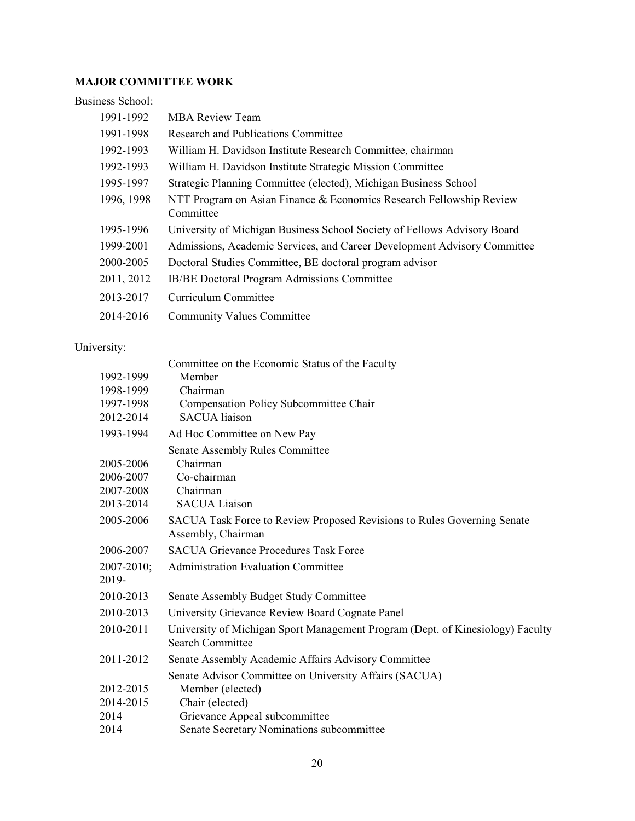### **MAJOR COMMITTEE WORK**

### Business School:

| 1991-1992  | <b>MBA Review Team</b>                                                           |
|------------|----------------------------------------------------------------------------------|
| 1991-1998  | Research and Publications Committee                                              |
| 1992-1993  | William H. Davidson Institute Research Committee, chairman                       |
| 1992-1993  | William H. Davidson Institute Strategic Mission Committee                        |
| 1995-1997  | Strategic Planning Committee (elected), Michigan Business School                 |
| 1996, 1998 | NTT Program on Asian Finance & Economics Research Fellowship Review<br>Committee |
| 1995-1996  | University of Michigan Business School Society of Fellows Advisory Board         |
| 1999-2001  | Admissions, Academic Services, and Career Development Advisory Committee         |
| 2000-2005  | Doctoral Studies Committee, BE doctoral program advisor                          |
| 2011, 2012 | IB/BE Doctoral Program Admissions Committee                                      |
| 2013-2017  | Curriculum Committee                                                             |
| 2014-2016  | <b>Community Values Committee</b>                                                |
|            |                                                                                  |

### University:

|                 | Committee on the Economic Status of the Faculty                                                           |
|-----------------|-----------------------------------------------------------------------------------------------------------|
| 1992-1999       | Member                                                                                                    |
| 1998-1999       | Chairman                                                                                                  |
| 1997-1998       | Compensation Policy Subcommittee Chair                                                                    |
| 2012-2014       | <b>SACUA</b> liaison                                                                                      |
| 1993-1994       | Ad Hoc Committee on New Pay                                                                               |
|                 | <b>Senate Assembly Rules Committee</b>                                                                    |
| 2005-2006       | Chairman                                                                                                  |
| 2006-2007       | Co-chairman                                                                                               |
| 2007-2008       | Chairman                                                                                                  |
| 2013-2014       | <b>SACUA Liaison</b>                                                                                      |
| 2005-2006       | SACUA Task Force to Review Proposed Revisions to Rules Governing Senate                                   |
|                 | Assembly, Chairman                                                                                        |
| 2006-2007       | <b>SACUA Grievance Procedures Task Force</b>                                                              |
| $2007 - 2010$ ; | Administration Evaluation Committee                                                                       |
| 2019-           |                                                                                                           |
| 2010-2013       | Senate Assembly Budget Study Committee                                                                    |
| 2010-2013       | University Grievance Review Board Cognate Panel                                                           |
| 2010-2011       | University of Michigan Sport Management Program (Dept. of Kinesiology) Faculty<br><b>Search Committee</b> |
| 2011-2012       | Senate Assembly Academic Affairs Advisory Committee                                                       |
|                 | Senate Advisor Committee on University Affairs (SACUA)                                                    |
| 2012-2015       | Member (elected)                                                                                          |
| 2014-2015       | Chair (elected)                                                                                           |
| 2014            | Grievance Appeal subcommittee                                                                             |
| 2014            | Senate Secretary Nominations subcommittee                                                                 |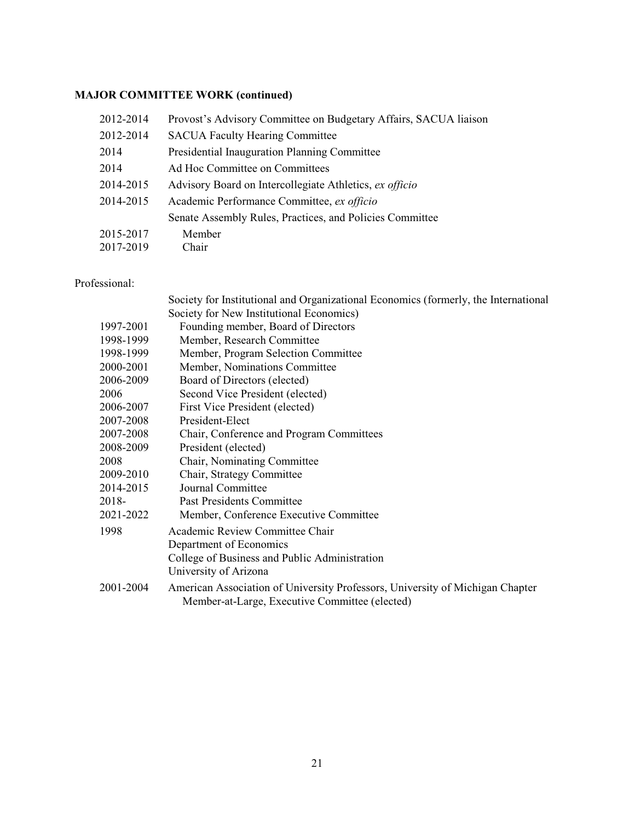### **MAJOR COMMITTEE WORK (continued)**

| 2012-2014 | Provost's Advisory Committee on Budgetary Affairs, SACUA liaison |
|-----------|------------------------------------------------------------------|
| 2012-2014 | <b>SACUA Faculty Hearing Committee</b>                           |
| 2014      | Presidential Inauguration Planning Committee                     |
| 2014      | Ad Hoc Committee on Committees                                   |
| 2014-2015 | Advisory Board on Intercollegiate Athletics, ex officio          |
| 2014-2015 | Academic Performance Committee, ex officio                       |
|           | Senate Assembly Rules, Practices, and Policies Committee         |
| 2015-2017 | Member                                                           |
| 2017-2019 | Chair                                                            |

#### Professional:

|           | Society for Institutional and Organizational Economics (formerly, the International                                             |
|-----------|---------------------------------------------------------------------------------------------------------------------------------|
|           | Society for New Institutional Economics)                                                                                        |
| 1997-2001 | Founding member, Board of Directors                                                                                             |
| 1998-1999 | Member, Research Committee                                                                                                      |
| 1998-1999 | Member, Program Selection Committee                                                                                             |
| 2000-2001 | Member, Nominations Committee                                                                                                   |
| 2006-2009 | Board of Directors (elected)                                                                                                    |
| 2006      | Second Vice President (elected)                                                                                                 |
| 2006-2007 | First Vice President (elected)                                                                                                  |
| 2007-2008 | President-Elect                                                                                                                 |
| 2007-2008 | Chair, Conference and Program Committees                                                                                        |
| 2008-2009 | President (elected)                                                                                                             |
| 2008      | Chair, Nominating Committee                                                                                                     |
| 2009-2010 | Chair, Strategy Committee                                                                                                       |
| 2014-2015 | Journal Committee                                                                                                               |
| 2018-     | <b>Past Presidents Committee</b>                                                                                                |
| 2021-2022 | Member, Conference Executive Committee                                                                                          |
| 1998      | Academic Review Committee Chair                                                                                                 |
|           | Department of Economics                                                                                                         |
|           | College of Business and Public Administration                                                                                   |
|           | University of Arizona                                                                                                           |
| 2001-2004 | American Association of University Professors, University of Michigan Chapter<br>Member-at-Large, Executive Committee (elected) |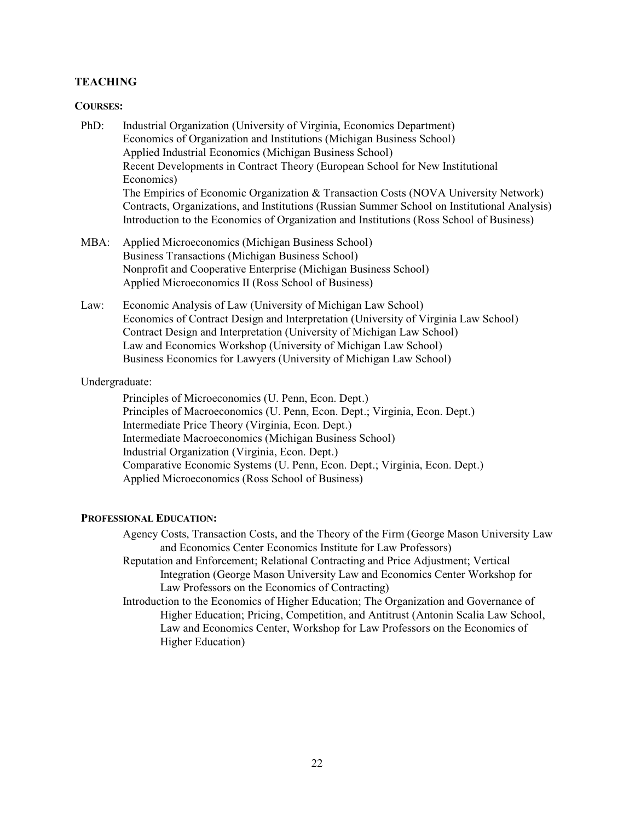#### **TEACHING**

#### **COURSES:**

- PhD: Industrial Organization (University of Virginia, Economics Department) Economics of Organization and Institutions (Michigan Business School) Applied Industrial Economics (Michigan Business School) Recent Developments in Contract Theory (European School for New Institutional Economics) The Empirics of Economic Organization & Transaction Costs (NOVA University Network) Contracts, Organizations, and Institutions (Russian Summer School on Institutional Analysis) Introduction to the Economics of Organization and Institutions (Ross School of Business)
- MBA: Applied Microeconomics (Michigan Business School) Business Transactions (Michigan Business School) Nonprofit and Cooperative Enterprise (Michigan Business School) Applied Microeconomics II (Ross School of Business)
- Law: Economic Analysis of Law (University of Michigan Law School) Economics of Contract Design and Interpretation (University of Virginia Law School) Contract Design and Interpretation (University of Michigan Law School) Law and Economics Workshop (University of Michigan Law School) Business Economics for Lawyers (University of Michigan Law School)

#### Undergraduate:

Principles of Microeconomics (U. Penn, Econ. Dept.) Principles of Macroeconomics (U. Penn, Econ. Dept.; Virginia, Econ. Dept.) Intermediate Price Theory (Virginia, Econ. Dept.) Intermediate Macroeconomics (Michigan Business School) Industrial Organization (Virginia, Econ. Dept.) Comparative Economic Systems (U. Penn, Econ. Dept.; Virginia, Econ. Dept.) Applied Microeconomics (Ross School of Business)

#### **PROFESSIONAL EDUCATION:**

Agency Costs, Transaction Costs, and the Theory of the Firm (George Mason University Law and Economics Center Economics Institute for Law Professors)

- Reputation and Enforcement; Relational Contracting and Price Adjustment; Vertical Integration (George Mason University Law and Economics Center Workshop for Law Professors on the Economics of Contracting)
- Introduction to the Economics of Higher Education; The Organization and Governance of Higher Education; Pricing, Competition, and Antitrust (Antonin Scalia Law School, Law and Economics Center, Workshop for Law Professors on the Economics of Higher Education)